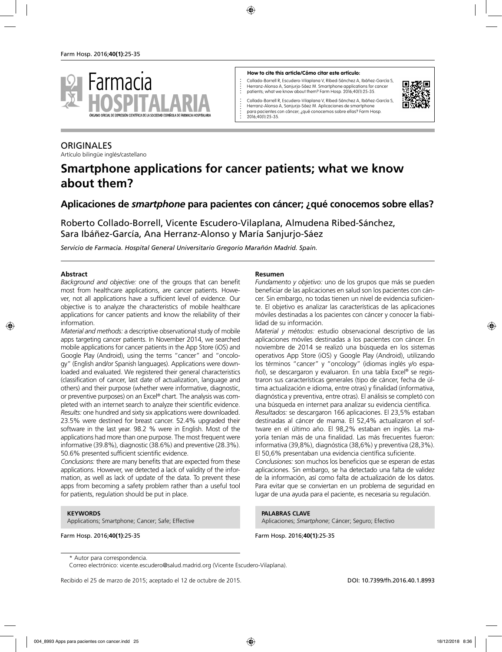

#### **How to cite this article/Cómo citar este artículo:**

Collado-Borrell R, Escudero-Vilaplana V, Ribed-Sánchez A, Ibáñez-García S, Herranz-Alonso A, Sanjurjo-Sáez M. Smartphone applications for cancer patients; what we know about them? Farm Hosp. 2016;40(1):25-35.

Collado-Borrell R, Escudero-Vilaplana V, Ribed-Sánchez A, Ibáñez-García S, Herranz-Alonso A, Sanjurjo-Sáez M. Aplicaciones de smartphone para pacientes con cáncer; ¿qué conocemos sobre ellas? Farm Hosp. 2016;40(1):25-35.



# ORIGINALES

Artículo bilingüe inglés/castellano

# **Smartphone applications for cancer patients; what we know about them?**

### **Aplicaciones de** *smartphone* **para pacientes con cáncer; ¿qué conocemos sobre ellas?**

Roberto Collado-Borrell, Vicente Escudero-Vilaplana, Almudena Ribed-Sánchez, Sara Ibáñez-García, Ana Herranz-Alonso y María Sanjurjo-Sáez

*Servicio de Farmacia. Hospital General Universitario Gregorio Marañón Madrid. Spain.*

#### **Abstract**

*Background and objective:* one of the groups that can benefit most from healthcare applications, are cancer patients. However, not all applications have a sufficient level of evidence. Our objective is to analyze the characteristics of mobile healthcare applications for cancer patients and know the reliability of their information.

*Material and methods:* a descriptive observational study of mobile apps targeting cancer patients. In November 2014, we searched mobile applications for cancer patients in the App Store (iOS) and Google Play (Android), using the terms "cancer" and "oncology" (English and/or Spanish languages). Applications were downloaded and evaluated. We registered their general characteristics (classification of cancer, last date of actualization, language and others) and their purpose (whether were informative, diagnostic, or preventive purposes) on an Excel® chart. The analysis was completed with an internet search to analyze their scientific evidence. *Results:* one hundred and sixty six applications were downloaded. 23.5% were destined for breast cancer. 52.4% upgraded their software in the last year. 98.2 % were in English. Most of the applications had more than one purpose. The most frequent were informative (39.8%), diagnostic (38.6%) and preventive (28.3%). 50.6% presented sufficient scientific evidence.

*Conclusions:* there are many benefits that are expected from these applications. However, we detected a lack of validity of the information, as well as lack of update of the data. To prevent these apps from becoming a safety problem rather than a useful tool for patients, regulation should be put in place.

#### **KEYWORDS**

Applications; Smartphone; Cancer; Safe; Effective

Farm Hosp. 2016;**40(1)**:25-35

#### **Resumen**

*Fundamento y objetivo:* uno de los grupos que más se pueden beneficiar de las aplicaciones en salud son los pacientes con cáncer. Sin embargo, no todas tienen un nivel de evidencia suficiente. El objetivo es analizar las características de las aplicaciones móviles destinadas a los pacientes con cáncer y conocer la fiabilidad de su información.

*Material y métodos:* estudio observacional descriptivo de las aplicaciones móviles destinadas a los pacientes con cáncer. En noviembre de 2014 se realizó una búsqueda en los sistemas operativos App Store (iOS) y Google Play (Android), utilizando los términos "cancer" y "oncology" (idiomas inglés y/o español), se descargaron y evaluaron. En una tabla Excel® se registraron sus características generales (tipo de cáncer, fecha de última actualización e idioma, entre otras) y finalidad (informativa, diagnóstica y preventiva, entre otras). El análisis se completó con una búsqueda en internet para analizar su evidencia científica. *Resultados:* se descargaron 166 aplicaciones. El 23,5% estaban

destinadas al cáncer de mama. El 52,4% actualizaron el software en el último año. El 98,2% estaban en inglés. La mayoría tenían más de una finalidad. Las más frecuentes fueron: informativa (39,8%), diagnóstica (38,6%) y preventiva (28,3%). El 50,6% presentaban una evidencia científica suficiente.

*Conclusiones:* son muchos los beneficios que se esperan de estas aplicaciones. Sin embargo, se ha detectado una falta de validez de la información, así como falta de actualización de los datos. Para evitar que se conviertan en un problema de seguridad en lugar de una ayuda para el paciente, es necesaria su regulación.

**PALABRAS CLAVE** Aplicaciones; *Smartphone*; Cáncer; Seguro; Efectivo

Farm Hosp. 2016;**40(1)**:25-35

Recibido el 25 de marzo de 2015; aceptado el 12 de octubre de 2015. DOI: 10.7399/fh.2016.40.1.8993

<sup>\*</sup> Autor para correspondencia.

Correo electrónico: vicente.escudero@salud.madrid.org (Vicente Escudero-Vilaplana).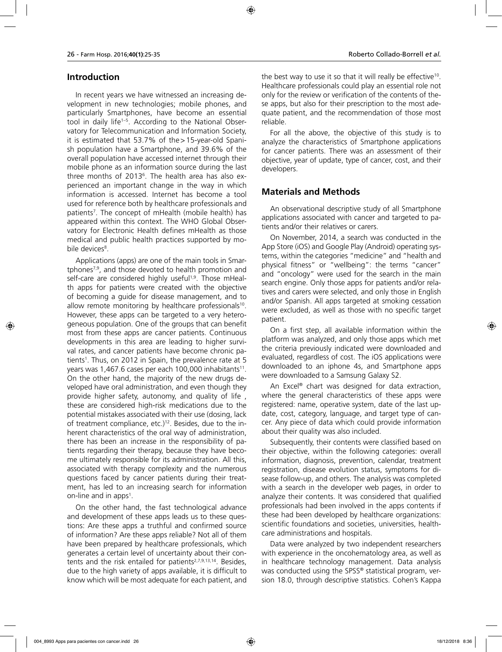# **Introduction**

In recent years we have witnessed an increasing development in new technologies; mobile phones, and particularly Smartphones, have become an essential tool in daily life<sup>1-5</sup>. According to the National Observatory for Telecommunication and Information Society, it is estimated that 53.7% of the>15-year-old Spanish population have a Smartphone, and 39.6% of the overall population have accessed internet through their mobile phone as an information source during the last three months of 20136 . The health area has also experienced an important change in the way in which information is accessed. Internet has become a tool used for reference both by healthcare professionals and patients7 . The concept of mHealth (mobile health) has appeared within this context. The WHO Global Observatory for Electronic Health defines mHealth as those medical and public health practices supported by mobile devices<sup>8</sup>.

Applications (apps) are one of the main tools in Smartphones7,9, and those devoted to health promotion and self-care are considered highly useful<sup>1,9</sup>. Those mHealth apps for patients were created with the objective of becoming a guide for disease management, and to allow remote monitoring by healthcare professionals<sup>10</sup>. However, these apps can be targeted to a very heterogeneous population. One of the groups that can benefit most from these apps are cancer patients. Continuous developments in this area are leading to higher survival rates, and cancer patients have become chronic patients<sup>1</sup>. Thus, on 2012 in Spain, the prevalence rate at 5 years was 1,467.6 cases per each 100,000 inhabitants<sup>11</sup>. On the other hand, the majority of the new drugs developed have oral administration, and even though they provide higher safety, autonomy, and quality of life , these are considered high-risk medications due to the potential mistakes associated with their use (dosing, lack of treatment compliance, etc.)<sup>12</sup>. Besides, due to the inherent characteristics of the oral way of administration, there has been an increase in the responsibility of patients regarding their therapy, because they have become ultimately responsible for its administration. All this, associated with therapy complexity and the numerous questions faced by cancer patients during their treatment, has led to an increasing search for information on-line and in apps<sup>1</sup>.

On the other hand, the fast technological advance and development of these apps leads us to these questions: Are these apps a truthful and confirmed source of information? Are these apps reliable? Not all of them have been prepared by healthcare professionals, which generates a certain level of uncertainty about their contents and the risk entailed for patients<sup>2,7,9,13,14</sup>. Besides, due to the high variety of apps available, it is difficult to know which will be most adequate for each patient, and the best way to use it so that it will really be effective<sup>10</sup>. Healthcare professionals could play an essential role not only for the review or verification of the contents of these apps, but also for their prescription to the most adequate patient, and the recommendation of those most reliable.

For all the above, the objective of this study is to analyze the characteristics of Smartphone applications for cancer patients. There was an assessment of their objective, year of update, type of cancer, cost, and their developers.

# **Materials and Methods**

An observational descriptive study of all Smartphone applications associated with cancer and targeted to patients and/or their relatives or carers.

On November, 2014, a search was conducted in the App Store (iOS) and Google Play (Android) operating systems, within the categories "medicine" and "health and physical fitness" or "wellbeing": the terms "cancer" and "oncology" were used for the search in the main search engine. Only those apps for patients and/or relatives and carers were selected, and only those in English and/or Spanish. All apps targeted at smoking cessation were excluded, as well as those with no specific target patient.

On a first step, all available information within the platform was analyzed, and only those apps which met the criteria previously indicated were downloaded and evaluated, regardless of cost. The iOS applications were downloaded to an iphone 4s, and Smartphone apps were downloaded to a Samsung Galaxy S2.

An Excel® chart was designed for data extraction, where the general characteristics of these apps were registered: name, operative system, date of the last update, cost, category, language, and target type of cancer. Any piece of data which could provide information about their quality was also included.

Subsequently, their contents were classified based on their objective, within the following categories: overall information, diagnosis, prevention, calendar, treatment registration, disease evolution status, symptoms for disease follow-up, and others. The analysis was completed with a search in the developer web pages, in order to analyze their contents. It was considered that qualified professionals had been involved in the apps contents if these had been developed by healthcare organizations: scientific foundations and societies, universities, healthcare administrations and hospitals.

Data were analyzed by two independent researchers with experience in the oncohematology area, as well as in healthcare technology management. Data analysis was conducted using the SPSS® statistical program, version 18.0, through descriptive statistics. Cohen's Kappa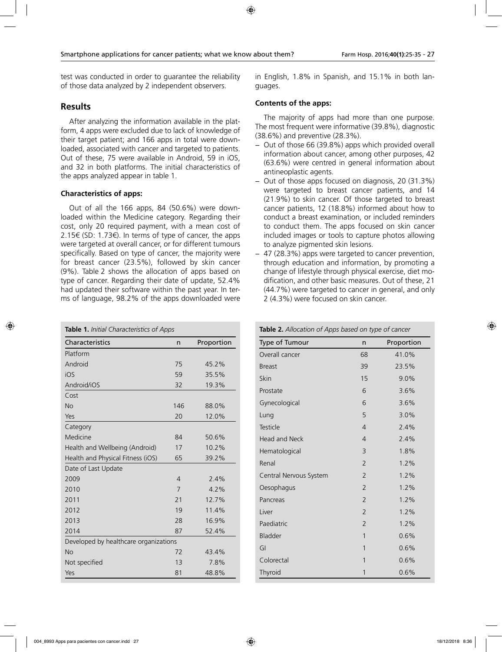test was conducted in order to guarantee the reliability of those data analyzed by 2 independent observers.

### **Results**

After analyzing the information available in the platform, 4 apps were excluded due to lack of knowledge of their target patient; and 166 apps in total were downloaded, associated with cancer and targeted to patients. Out of these, 75 were available in Android, 59 in iOS, and 32 in both platforms. The initial characteristics of the apps analyzed appear in table 1.

#### **Characteristics of apps:**

Out of all the 166 apps, 84 (50.6%) were downloaded within the Medicine category. Regarding their cost, only 20 required payment, with a mean cost of 2.15€ (SD: 1.73€). In terms of type of cancer, the apps were targeted at overall cancer, or for different tumours specifically. Based on type of cancer, the majority were for breast cancer (23.5%), followed by skin cancer (9%). Table 2 shows the allocation of apps based on type of cancer. Regarding their date of update, 52.4% had updated their software within the past year. In terms of language, 98.2% of the apps downloaded were

| Table 1. Initial Characteristics of Apps |                |            |  |  |
|------------------------------------------|----------------|------------|--|--|
| Characteristics                          | n              | Proportion |  |  |
| Platform                                 |                |            |  |  |
| Android                                  | 75             | 45.2%      |  |  |
| iOS                                      | 59             | 35.5%      |  |  |
| Android/iOS                              | 32             | 19.3%      |  |  |
| Cost                                     |                |            |  |  |
| <b>No</b>                                | 146            | 88.0%      |  |  |
| Yes                                      | 20             | 12.0%      |  |  |
| Category                                 |                |            |  |  |
| Medicine                                 | 84             | 50.6%      |  |  |
| Health and Wellbeing (Android)           | 17             | 10.2%      |  |  |
| Health and Physical Fitness (iOS)        | 65             | 39.2%      |  |  |
| Date of Last Update                      |                |            |  |  |
| 2009                                     | $\overline{4}$ | 2.4%       |  |  |
| 2010                                     | 7              | 4.2%       |  |  |
| 2011                                     | 21             | 12.7%      |  |  |
| 2012                                     | 19             | 11.4%      |  |  |
| 2013                                     | 28             | 16.9%      |  |  |
| 2014                                     | 87             | 52.4%      |  |  |
| Developed by healthcare organizations    |                |            |  |  |
| <b>No</b>                                | 72             | 43.4%      |  |  |
| Not specified                            | 13             | 7.8%       |  |  |
| Yes                                      | 81             | 48.8%      |  |  |

in English, 1.8% in Spanish, and 15.1% in both languages.

### **Contents of the apps:**

The majority of apps had more than one purpose. The most frequent were informative (39.8%), diagnostic (38.6%) and preventive (28.3%).

- − Out of those 66 (39.8%) apps which provided overall information about cancer, among other purposes, 42 (63.6%) were centred in general information about antineoplastic agents.
- − Out of those apps focused on diagnosis, 20 (31.3%) were targeted to breast cancer patients, and 14 (21.9%) to skin cancer. Of those targeted to breast cancer patients, 12 (18.8%) informed about how to conduct a breast examination, or included reminders to conduct them. The apps focused on skin cancer included images or tools to capture photos allowing to analyze pigmented skin lesions.
- − 47 (28.3%) apps were targeted to cancer prevention, through education and information, by promoting a change of lifestyle through physical exercise, diet modification, and other basic measures. Out of these, 21 (44.7%) were targeted to cancer in general, and only 2 (4.3%) were focused on skin cancer.

**Table 2.** *Allocation of Apps based on type of cancer*

| Type of Tumour         | n              | Proportion |
|------------------------|----------------|------------|
| Overall cancer         | 68             | 41.0%      |
| <b>Breast</b>          | 39             | 23.5%      |
| Skin                   | 15             | 9.0%       |
| Prostate               | 6              | 3.6%       |
| Gynecological          | 6              | 3.6%       |
| Lung                   | 5              | 3.0%       |
| Testicle               | $\overline{4}$ | 2.4%       |
| Head and Neck          | $\overline{4}$ | 2.4%       |
| Hematological          | 3              | 1.8%       |
| Renal                  | $\overline{2}$ | 1.2%       |
| Central Nervous System | 2              | 1.2%       |
| Oesophagus             | $\overline{2}$ | 1.2%       |
| Pancreas               | $\overline{2}$ | 1.2%       |
| Liver                  | $\overline{2}$ | 1.2%       |
| Paediatric             | $\overline{2}$ | 1.2%       |
| Bladder                | 1              | 0.6%       |
| GI                     | 1              | 0.6%       |
| Colorectal             | 1              | 0.6%       |
| Thyroid                | 1              | 0.6%       |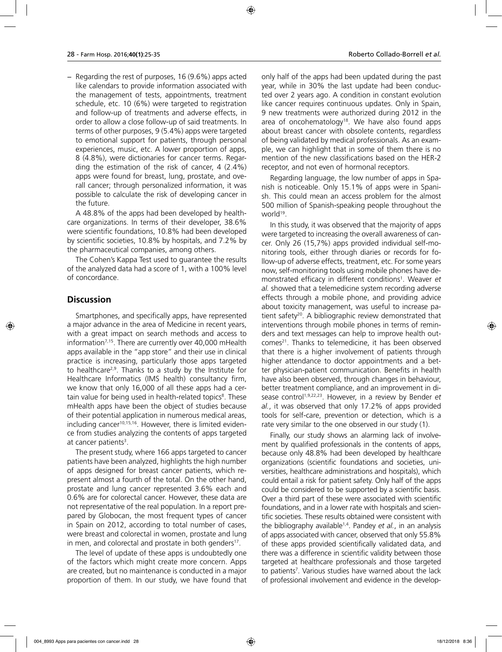− Regarding the rest of purposes, 16 (9.6%) apps acted like calendars to provide information associated with the management of tests, appointments, treatment schedule, etc. 10 (6%) were targeted to registration and follow-up of treatments and adverse effects, in order to allow a close follow-up of said treatments. In terms of other purposes, 9 (5.4%) apps were targeted to emotional support for patients, through personal experiences, music, etc. A lower proportion of apps, 8 (4.8%), were dictionaries for cancer terms. Regarding the estimation of the risk of cancer, 4 (2.4%) apps were found for breast, lung, prostate, and overall cancer; through personalized information, it was possible to calculate the risk of developing cancer in the future.

A 48.8% of the apps had been developed by healthcare organizations. In terms of their developer, 38.6% were scientific foundations, 10.8% had been developed by scientific societies, 10.8% by hospitals, and 7.2% by the pharmaceutical companies, among others.

The Cohen's Kappa Test used to guarantee the results of the analyzed data had a score of 1, with a 100% level of concordance.

### **Discussion**

Smartphones, and specifically apps, have represented a major advance in the area of Medicine in recent years, with a great impact on search methods and access to information<sup>7,15</sup>. There are currently over 40,000 mHealth apps available in the "app store" and their use in clinical practice is increasing, particularly those apps targeted to healthcare2,9. Thanks to a study by the Institute for Healthcare Informatics (IMS health) consultancy firm, we know that only 16,000 of all these apps had a certain value for being used in health-related topics<sup>8</sup>. These mHealth apps have been the object of studies because of their potential application in numerous medical areas, including cancer<sup>10,15,16</sup>. However, there is limited evidence from studies analyzing the contents of apps targeted at cancer patients<sup>3</sup>.

The present study, where 166 apps targeted to cancer patients have been analyzed, highlights the high number of apps designed for breast cancer patients, which represent almost a fourth of the total. On the other hand, prostate and lung cancer represented 3.6% each and 0.6% are for colorectal cancer. However, these data are not representative of the real population. In a report prepared by Globocan, the most frequent types of cancer in Spain on 2012, according to total number of cases, were breast and colorectal in women, prostate and lung in men, and colorectal and prostate in both genders<sup>17</sup>.

The level of update of these apps is undoubtedly one of the factors which might create more concern. Apps are created, but no maintenance is conducted in a major proportion of them. In our study, we have found that only half of the apps had been updated during the past year, while in 30% the last update had been conducted over 2 years ago. A condition in constant evolution like cancer requires continuous updates. Only in Spain, 9 new treatments were authorized during 2012 in the area of oncohematology<sup>18</sup>. We have also found apps about breast cancer with obsolete contents, regardless of being validated by medical professionals. As an example, we can highlight that in some of them there is no mention of the new classifications based on the HER-2 receptor, and not even of hormonal receptors.

Regarding language, the low number of apps in Spanish is noticeable. Only 15.1% of apps were in Spanish. This could mean an access problem for the almost 500 million of Spanish-speaking people throughout the world<sup>19</sup>.

In this study, it was observed that the majority of apps were targeted to increasing the overall awareness of cancer. Only 26 (15,7%) apps provided individual self-monitoring tools, either through diaries or records for follow-up of adverse effects, treatment, etc. For some years now, self-monitoring tools using mobile phones have demonstrated efficacy in different conditions1 . Weaver *et al.* showed that a telemedicine system recording adverse effects through a mobile phone, and providing advice about toxicity management, was useful to increase patient safety<sup>20</sup>. A bibliographic review demonstrated that interventions through mobile phones in terms of reminders and text messages can help to improve health outcomes<sup>21</sup>. Thanks to telemedicine, it has been observed that there is a higher involvement of patients through higher attendance to doctor appointments and a better physician-patient communication. Benefits in health have also been observed, through changes in behaviour, better treatment compliance, and an improvement in disease control<sup>1,9,22,23</sup>. However, in a review by Bender *et al.*, it was observed that only 17.2% of apps provided tools for self-care, prevention or detection, which is a rate very similar to the one observed in our study (1).

Finally, our study shows an alarming lack of involvement by qualified professionals in the contents of apps, because only 48.8% had been developed by healthcare organizations (scientific foundations and societies, universities, healthcare administrations and hospitals), which could entail a risk for patient safety. Only half of the apps could be considered to be supported by a scientific basis. Over a third part of these were associated with scientific foundations, and in a lower rate with hospitals and scientific societies. These results obtained were consistent with the bibliography available<sup>1,4</sup>. Pandey *et al.*, in an analysis of apps associated with cancer, observed that only 55.8% of these apps provided scientifically validated data, and there was a difference in scientific validity between those targeted at healthcare professionals and those targeted to patients<sup>7</sup>. Various studies have warned about the lack of professional involvement and evidence in the develop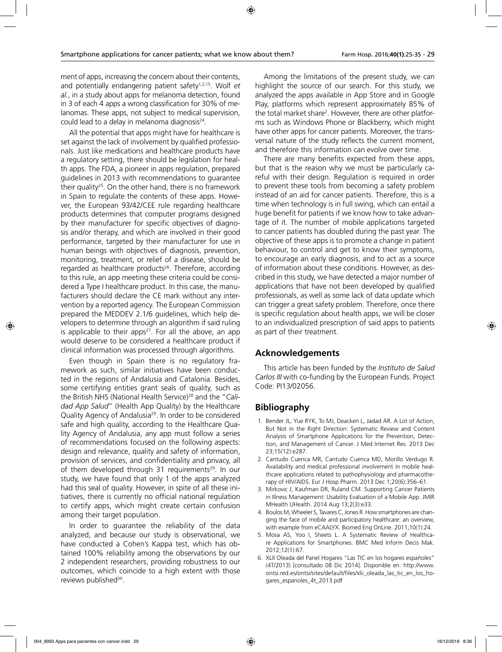ment of apps, increasing the concern about their contents, and potentially endangering patient safety<sup>1,2,15</sup>. Wolf *et al.*, in a study about apps for melanoma detection, found in 3 of each 4 apps a wrong classification for 30% of melanomas. These apps, not subject to medical supervision, could lead to a delay in melanoma diagnosis<sup>24</sup>.

All the potential that apps might have for healthcare is set against the lack of involvement by qualified professionals. Just like medications and healthcare products have a regulatory setting, there should be legislation for health apps. The FDA, a pioneer in apps regulation, prepared guidelines in 2013 with recommendations to guarantee their quality<sup>25</sup>. On the other hand, there is no framework in Spain to regulate the contents of these apps. However, the European 93/42/CEE rule regarding healthcare products determines that computer programs designed by their manufacturer for specific objectives of diagnosis and/or therapy, and which are involved in their good performance, targeted by their manufacturer for use in human beings with objectives of diagnosis, prevention, monitoring, treatment, or relief of a disease, should be regarded as healthcare products<sup>26</sup>. Therefore, according to this rule, an app meeting these criteria could be considered a Type I healthcare product. In this case, the manufacturers should declare the CE mark without any intervention by a reported agency. The European Commission prepared the MEDDEV 2.1/6 guidelines, which help developers to determine through an algorithm if said ruling is applicable to their apps<sup>27</sup>. For all the above, an app would deserve to be considered a healthcare product if clinical information was processed through algorithms.

Even though in Spain there is no regulatory framework as such, similar initiatives have been conducted in the regions of Andalusia and Catalonia. Besides, some certifying entities grant seals of quality, such as the British NHS (National Health Service)28 and the "*Calidad App Salud*" (Health App Quality) by the Healthcare Quality Agency of Andalusia29. In order to be considered safe and high quality, according to the Healthcare Quality Agency of Andalusia, any app must follow a series of recommendations focused on the following aspects: design and relevance, quality and safety of information, provision of services, and confidentiality and privacy, all of them developed through 31 requirements<sup>29</sup>. In our study, we have found that only 1 of the apps analyzed had this seal of quality. However, in spite of all these initiatives, there is currently no official national regulation to certify apps, which might create certain confusion among their target population.

In order to guarantee the reliability of the data analyzed, and because our study is observational, we have conducted a Cohen's Kappa test, which has obtained 100% reliability among the observations by our 2 independent researchers, providing robustness to our outcomes, which coincide to a high extent with those reviews published<sup>30</sup>.

Among the limitations of the present study, we can highlight the source of our search. For this study, we analyzed the apps available in App Store and in Google Play, platforms which represent approximately 85% of the total market share<sup>2</sup>. However, there are other platforms such as Windows Phone or Blackberry, which might have other apps for cancer patients. Moreover, the transversal nature of the study reflects the current moment, and therefore this information can evolve over time.

There are many benefits expected from these apps, but that is the reason why we must be particularly careful with their design. Regulation is required in order to prevent these tools from becoming a safety problem instead of an aid for cancer patients. Therefore, this is a time when technology is in full swing, which can entail a huge benefit for patients if we know how to take advantage of it. The number of mobile applications targeted to cancer patients has doubled during the past year. The objective of these apps is to promote a change in patient behaviour, to control and get to know their symptoms, to encourage an early diagnosis, and to act as a source of information about these conditions. However, as described in this study, we have detected a major number of applications that have not been developed by qualified professionals, as well as some lack of data update which can trigger a great safety problem. Therefore, once there is specific regulation about health apps, we will be closer to an individualized prescription of said apps to patients as part of their treatment.

# **Acknowledgements**

This article has been funded by the *Instituto de Salud Carlos III* with co-funding by the European Funds. Project Code: PI13/02056.

# **Bibliography**

- 1. Bender JL, Yue RYK, To MJ, Deacken L, Jadad AR. A Lot of Action, But Not in the Right Direction: Systematic Review and Content Analysis of Smartphone Applications for the Prevention, Detection, and Management of Cancer. J Med Internet Res. 2013 Dec 23;15(12):e287.
- 2. Cantudo Cuenca MR, Cantudo Cuenca MD, Morillo Verdugo R. Availability and medical professional involvement in mobile healthcare applications related to pathophysiology and pharmacotherapy of HIV/AIDS. Eur J Hosp Pharm. 2013 Dec 1;20(6):356–61.
- 3. Mirkovic J, Kaufman DR, Ruland CM. Supporting Cancer Patients in Illness Management: Usability Evaluation of a Mobile App. JMIR MHealth UHealth. 2014 Aug 13;2(3):e33.
- 4. Boulos M, Wheeler S, Tavares C, Jones R. How smartphones are changing the face of mobile and participatory healthcare: an overview, with example from eCAALYX. Biomed Eng OnLine. 2011;10(1):24.
- 5. Mosa AS, Yoo I, Sheets L. A Systematic Review of Healthcare Applications for Smartphones. BMC Med Inform Decis Mak. 2012;12(1):67.
- 6. XLII Oleada del Panel Hogares "Las TIC en los hogares españoles" (4T/2013) [consultado 08 Dic 2014]. Disponible en: http://www. ontsi.red.es/ontsi/sites/default/files/xlii\_oleada\_las\_tic\_en\_los\_hogares\_espanoles\_4t\_2013.pdf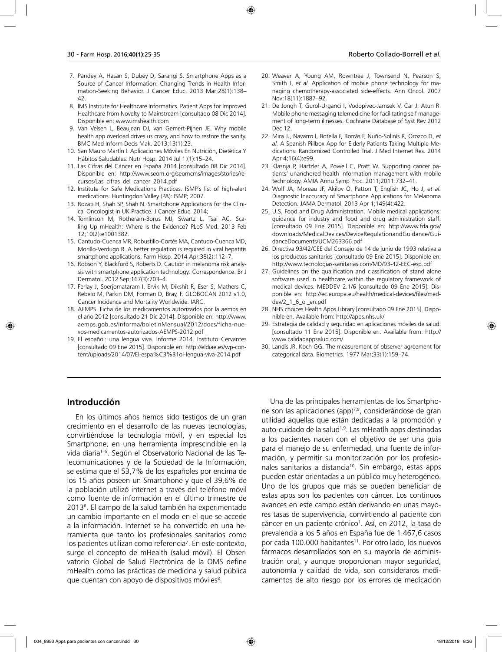- 7. Pandey A, Hasan S, Dubey D, Sarangi S. Smartphone Apps as a Source of Cancer Information: Changing Trends in Health Information-Seeking Behavior. J Cancer Educ. 2013 Mar;28(1):138– 42.
- 8. IMS Institute for Healthcare Informatics. Patient Apps for Improved Healthcare from Novelty to Mainstream [consultado 08 Dic 2014]. Disponible en: www.imshealth.com
- 9. Van Velsen L, Beaujean DJ, van Gemert-Pijnen JE. Why mobile health app overload drives us crazy, and how to restore the sanity. BMC Med Inform Decis Mak. 2013;13(1):23.
- 10. San Mauro Martín I. Aplicaciones Móviles En Nutrición, Dietética Y Hábitos Saludables: Nutr Hosp. 2014 Jul 1;(1):15–24.
- 11. Las Cifras del Cáncer en España 2014 [consultado 08 Dic 2014]. Disponible en: http://www.seom.org/seomcms/images/stories/recursos/Las\_cifras\_del\_cancer\_2014.pdf
- 12. Institute for Safe Medications Practices. ISMP´s list of high-alert medications. Huntingdon Valley (PA): ISMP; 2007.
- 13. Rozati H, Shah SP, Shah N. Smartphone Applications for the Clinical Oncologist in UK Practice. J Cancer Educ. 2014;
- 14. Tomlinson M, Rotheram-Borus MJ, Swartz L, Tsai AC. Scaling Up mHealth: Where Is the Evidence? PLoS Med. 2013 Feb 12;10(2):e1001382.
- 15. Cantudo-Cuenca MR, Robustillo-Cortés MA, Cantudo-Cuenca MD, Morillo-Verdugo R. A better regulation is required in viral hepatitis smartphone applications. Farm Hosp. 2014 Apr;38(2):112–7.
- 16. Robson Y, Blackford S, Roberts D. Caution in melanoma risk analysis with smartphone application technology: Correspondence. Br J Dermatol. 2012 Sep;167(3):703–4.
- 17. Ferlay J, Soerjomataram I, Ervik M, Dikshit R, Eser S, Mathers C, Rebelo M, Parkin DM, Forman D, Bray, F. GLOBOCAN 2012 v1.0, Cancer Incidence and Mortality Worldwide: IARC.
- 18. AEMPS. Ficha de los medicamentos autorizados por la aemps en el año 2012 [consultado 21 Dic 2014]. Disponible en: http://www. aemps.gob.es/informa/boletinMensual/2012/docs/ficha-nuevos-medicamentos-autorizados-AEMPS-2012.pdf
- 19. El español: una lengua viva. Informe 2014. Instituto Cervantes [consultado 09 Ene 2015]. Disponible en: http://eldiae.es/wp-content/uploads/2014/07/El-espa%C3%B1ol-lengua-viva-2014.pdf
- 20. Weaver A, Young AM, Rowntree J, Townsend N, Pearson S, Smith J, *et al.* Application of mobile phone technology for managing chemotherapy-associated side-effects. Ann Oncol. 2007 Nov;18(11):1887–92.
- 21. De Jongh T, Gurol-Urganci I, Vodopivec-Jamsek V, Car J, Atun R. Mobile phone messaging telemedicine for facilitating self management of long-term illnesses. Cochrane Database of Syst Rev 2012 Dec 12.
- 22. Mira JJ, Navarro I, Botella F, Borrás F, Nuño-Solinís R, Orozco D, *et al.* A Spanish Pillbox App for Elderly Patients Taking Multiple Medications: Randomized Controlled Trial. J Med Internet Res. 2014 Apr 4;16(4):e99.
- 23. Klasnja P, Hartzler A, Powell C, Pratt W. Supporting cancer patients' unanchored health information management with mobile technology. AMIA Annu Symp Proc. 2011;2011:732–41.
- 24. Wolf JA, Moreau JF, Akilov O, Patton T, English JC, Ho J, *et al.* Diagnostic Inaccuracy of Smartphone Applications for Melanoma Detection. JAMA Dermatol. 2013 Apr 1;149(4):422.
- 25. U.S. Food and Drug Administration. Mobile medical applications: guidance for industry and food and drug administration staff. [consultado 09 Ene 2015]. Disponible en: http://www.fda.gov/ downloads/MedicalDevices/DeviceRegulationandGuidance/GuidanceDocuments/UCM263366.pdf
- 26. Directiva 93/42/CEE del Consejo de 14 de junio de 1993 relativa a los productos sanitarios [consultado 09 Ene 2015]. Disponible en: http://www.tecnologias-sanitarias.com/MD/93-42-EEC-esp.pdf
- 27. Guidelines on the qualification and classification of stand alone software used in healthcare within the regulatory framework of medical devices. MEDDEV 2.1/6 [consultado 09 Ene 2015]. Disponible en: http://ec.europa.eu/health/medical-devices/files/meddev/2\_1\_6\_ol\_en.pdf
- 28. NHS choices Health Apps Library [consultado 09 Ene 2015]. Disponible en. Available from: http://apps.nhs.uk/
- 29. Estrategia de calidad y seguridad en aplicaciones móviles de salud. [consultado 11 Ene 2015]. Disponible en. Available from: http:// www.calidadappsalud.com/
- 30. Landis JR, Koch GG. The measurement of observer agreement for categorical data. Biometrics. 1977 Mar;33(1):159–74.

### **Introducción**

En los últimos años hemos sido testigos de un gran crecimiento en el desarrollo de las nuevas tecnologías, convirtiéndose la tecnología móvil, y en especial los Smartphone, en una herramienta imprescindible en la vida diaria<sup>1-5</sup>. Según el Observatorio Nacional de las Telecomunicaciones y de la Sociedad de la Información, se estima que el 53,7% de los españoles por encima de los 15 años poseen un Smartphone y que el 39,6% de la población utilizó internet a través del teléfono móvil como fuente de información en el último trimestre de 20136 . El campo de la salud también ha experimentado un cambio importante en el modo en el que se accede a la información. Internet se ha convertido en una herramienta que tanto los profesionales sanitarios como los pacientes utilizan como referencia<sup>7</sup>. En este contexto, surge el concepto de mHealth (salud móvil). El Observatorio Global de Salud Electrónica de la OMS define mHealth como las prácticas de medicina y salud pública que cuentan con apoyo de dispositivos móviles<sup>8</sup>.

Una de las principales herramientas de los Smartphone son las aplicaciones (app)<sup>7,9</sup>, considerándose de gran utilidad aquellas que están dedicadas a la promoción y auto-cuidado de la salud<sup>1,9</sup>. Las mHeatlh apps destinadas a los pacientes nacen con el objetivo de ser una guía para el manejo de su enfermedad, una fuente de información, y permitir su monitorización por los profesionales sanitarios a distancia<sup>10</sup>. Sin embargo, estas apps pueden estar orientadas a un público muy heterogéneo. Uno de los grupos que más se pueden beneficiar de estas apps son los pacientes con cáncer. Los continuos avances en este campo están derivando en unas mayores tasas de supervivencia, convirtiendo al paciente con cáncer en un paciente crónico<sup>1</sup>. Así, en 2012, la tasa de prevalencia a los 5 años en España fue de 1.467,6 casos por cada 100.000 habitantes<sup>11</sup>. Por otro lado, los nuevos fármacos desarrollados son en su mayoría de administración oral, y aunque proporcionan mayor seguridad, autonomía y calidad de vida, son consideraros medicamentos de alto riesgo por los errores de medicación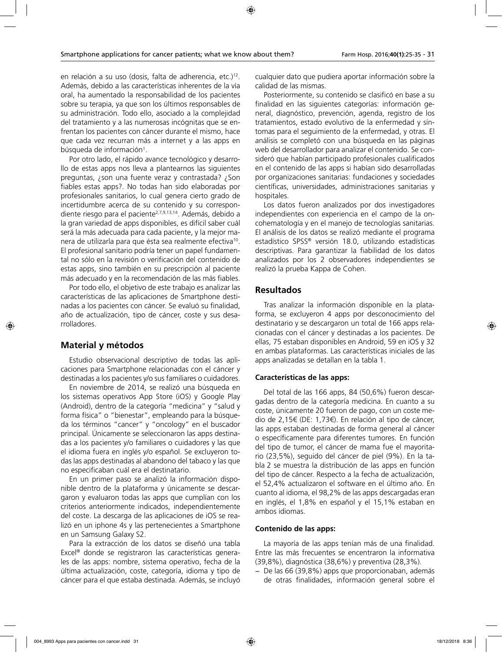en relación a su uso (dosis, falta de adherencia, etc.)<sup>12</sup>. Además, debido a las características inherentes de la vía oral, ha aumentado la responsabilidad de los pacientes sobre su terapia, ya que son los últimos responsables de su administración. Todo ello, asociado a la complejidad del tratamiento y a las numerosas incógnitas que se enfrentan los pacientes con cáncer durante el mismo, hace que cada vez recurran más a internet y a las apps en búsqueda de información<sup>1</sup>.

Por otro lado, el rápido avance tecnológico y desarrollo de estas apps nos lleva a plantearnos las siguientes preguntas, ¿son una fuente veraz y contrastada? ¿Son fiables estas apps?. No todas han sido elaboradas por profesionales sanitarios, lo cual genera cierto grado de incertidumbre acerca de su contenido y su correspondiente riesgo para el paciente<sup>2,7,9,13,14</sup>. Además, debido a la gran variedad de apps disponibles, es difícil saber cuál será la más adecuada para cada paciente, y la mejor manera de utilizarla para que ésta sea realmente efectiva<sup>10</sup>. El profesional sanitario podría tener un papel fundamental no sólo en la revisión o verificación del contenido de estas apps, sino también en su prescripción al paciente más adecuado y en la recomendación de las más fiables.

Por todo ello, el objetivo de este trabajo es analizar las características de las aplicaciones de Smartphone destinadas a los pacientes con cáncer. Se evaluó su finalidad, año de actualización, tipo de cáncer, coste y sus desarrolladores.

### **Material y métodos**

Estudio observacional descriptivo de todas las aplicaciones para Smartphone relacionadas con el cáncer y destinadas a los pacientes y/o sus familiares o cuidadores.

En noviembre de 2014, se realizó una búsqueda en los sistemas operativos App Store (iOS) y Google Play (Android), dentro de la categoría "medicina" y "salud y forma física" o "bienestar", empleando para la búsqueda los términos "cancer" y "oncology" en el buscador principal. Únicamente se seleccionaron las apps destinadas a los pacientes y/o familiares o cuidadores y las que el idioma fuera en inglés y/o español. Se excluyeron todas las apps destinadas al abandono del tabaco y las que no especificaban cuál era el destinatario.

En un primer paso se analizó la información disponible dentro de la plataforma y únicamente se descargaron y evaluaron todas las apps que cumplían con los criterios anteriormente indicados, independientemente del coste. La descarga de las aplicaciones de iOS se realizó en un iphone 4s y las pertenecientes a Smartphone en un Samsung Galaxy S2.

Para la extracción de los datos se diseñó una tabla Excel® donde se registraron las características generales de las apps: nombre, sistema operativo, fecha de la última actualización, coste, categoría, idioma y tipo de cáncer para el que estaba destinada. Además, se incluyó cualquier dato que pudiera aportar información sobre la calidad de las mismas.

Posteriormente, su contenido se clasificó en base a su finalidad en las siguientes categorías: información general, diagnóstico, prevención, agenda, registro de los tratamientos, estado evolutivo de la enfermedad y síntomas para el seguimiento de la enfermedad, y otras. El análisis se completó con una búsqueda en las páginas web del desarrollador para analizar el contenido. Se consideró que habían participado profesionales cualificados en el contenido de las apps si habían sido desarrolladas por organizaciones sanitarias: fundaciones y sociedades científicas, universidades, administraciones sanitarias y hospitales.

Los datos fueron analizados por dos investigadores independientes con experiencia en el campo de la oncohematología y en el manejo de tecnologías sanitarias. El análisis de los datos se realizó mediante el programa estadístico SPSS® versión 18.0, utilizando estadísticas descriptivas. Para garantizar la fiabilidad de los datos analizados por los 2 observadores independientes se realizó la prueba Kappa de Cohen.

### **Resultados**

Tras analizar la información disponible en la plataforma, se excluyeron 4 apps por desconocimiento del destinatario y se descargaron un total de 166 apps relacionadas con el cáncer y destinadas a los pacientes. De ellas, 75 estaban disponibles en Android, 59 en iOS y 32 en ambas plataformas. Las características iniciales de las apps analizadas se detallan en la tabla 1.

#### **Características de las apps:**

Del total de las 166 apps, 84 (50,6%) fueron descargadas dentro de la categoría medicina. En cuanto a su coste, únicamente 20 fueron de pago, con un coste medio de 2,15€ (DE: 1,73€). En relación al tipo de cáncer, las apps estaban destinadas de forma general al cáncer o específicamente para diferentes tumores. En función del tipo de tumor, el cáncer de mama fue el mayoritario (23,5%), seguido del cáncer de piel (9%). En la tabla 2 se muestra la distribución de las apps en función del tipo de cáncer. Respecto a la fecha de actualización, el 52,4% actualizaron el software en el último año. En cuanto al idioma, el 98,2% de las apps descargadas eran en inglés, el 1,8% en español y el 15,1% estaban en ambos idiomas.

#### **Contenido de las apps:**

La mayoría de las apps tenían más de una finalidad. Entre las más frecuentes se encentraron la informativa (39,8%), diagnóstica (38,6%) y preventiva (28,3%).

− De las 66 (39,8%) apps que proporcionaban, además de otras finalidades, información general sobre el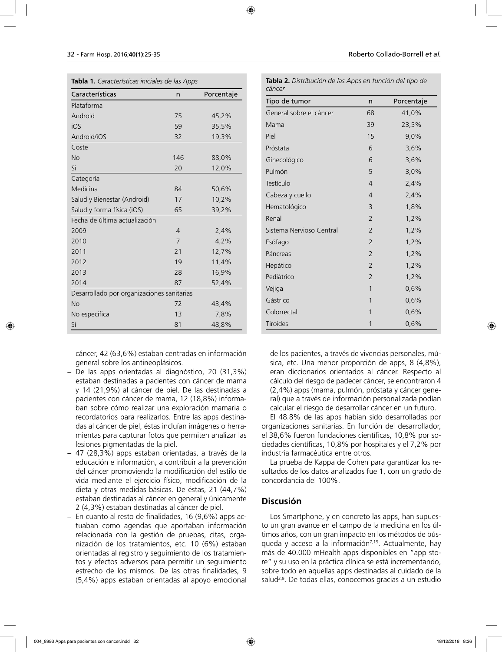| <b>labla 1.</b> Caracteristicas iniciales de las Apps |                |            |  |  |
|-------------------------------------------------------|----------------|------------|--|--|
| Características                                       | n              | Porcentaje |  |  |
| Plataforma                                            |                |            |  |  |
| Android                                               | 75             | 45,2%      |  |  |
| iOS                                                   | 59             | 35,5%      |  |  |
| Android/iOS                                           | 32             | 19,3%      |  |  |
| Coste                                                 |                |            |  |  |
| <b>No</b>                                             | 146            | 88,0%      |  |  |
| Si                                                    | 20             | 12,0%      |  |  |
| Categoría                                             |                |            |  |  |
| Medicina                                              | 84             | 50,6%      |  |  |
| Salud y Bienestar (Android)                           | 17             | 10,2%      |  |  |
| Salud y forma física (iOS)                            | 65             | 39,2%      |  |  |
| Fecha de última actualización                         |                |            |  |  |
| 2009                                                  | $\overline{4}$ | 2,4%       |  |  |
| 2010                                                  | 7              | 4,2%       |  |  |
| 2011                                                  | 21             | 12,7%      |  |  |
| 2012                                                  | 19             | 11,4%      |  |  |
| 2013                                                  | 28             | 16,9%      |  |  |
| 2014                                                  | 87             | 52,4%      |  |  |
| Desarrollado por organizaciones sanitarias            |                |            |  |  |
| <b>No</b>                                             | 72             | 43,4%      |  |  |
| No especifica                                         | 13             | 7,8%       |  |  |
| Si                                                    | 81             | 48,8%      |  |  |

**Tabla 1.** *Características iniciales de las Apps*

cáncer, 42 (63,6%) estaban centradas en información general sobre los antineoplásicos.

- − De las apps orientadas al diagnóstico, 20 (31,3%) estaban destinadas a pacientes con cáncer de mama y 14 (21,9%) al cáncer de piel. De las destinadas a pacientes con cáncer de mama, 12 (18,8%) informaban sobre cómo realizar una exploración mamaria o recordatorios para realizarlos. Entre las apps destinadas al cáncer de piel, éstas incluían imágenes o herramientas para capturar fotos que permiten analizar las lesiones pigmentadas de la piel.
- − 47 (28,3%) apps estaban orientadas, a través de la educación e información, a contribuir a la prevención del cáncer promoviendo la modificación del estilo de vida mediante el ejercicio físico, modificación de la dieta y otras medidas básicas. De éstas, 21 (44,7%) estaban destinadas al cáncer en general y únicamente 2 (4,3%) estaban destinadas al cáncer de piel.
- − En cuanto al resto de finalidades, 16 (9,6%) apps actuaban como agendas que aportaban información relacionada con la gestión de pruebas, citas, organización de los tratamientos, etc. 10 (6%) estaban orientadas al registro y seguimiento de los tratamientos y efectos adversos para permitir un seguimiento estrecho de los mismos. De las otras finalidades, 9 (5,4%) apps estaban orientadas al apoyo emocional

| cáncer                   |                |            |  |  |
|--------------------------|----------------|------------|--|--|
| Tipo de tumor            | n              | Porcentaje |  |  |
| General sobre el cáncer  | 68             | 41,0%      |  |  |
| Mama                     | 39             | 23,5%      |  |  |
| Piel                     | 15             | 9,0%       |  |  |
| Próstata                 | 6              | 3,6%       |  |  |
| Ginecológico             | 6              | 3,6%       |  |  |
| Pulmón                   | 5              | 3,0%       |  |  |
| Testículo                | $\overline{4}$ | 2,4%       |  |  |
| Cabeza y cuello          | $\overline{4}$ | 2,4%       |  |  |
| Hematológico             | 3              | 1,8%       |  |  |
| Renal                    | 2              | 1,2%       |  |  |
| Sistema Nervioso Central | $\overline{2}$ | 1,2%       |  |  |
| Esófago                  | $\overline{2}$ | 1,2%       |  |  |
| Páncreas                 | $\overline{2}$ | 1,2%       |  |  |
| Hepático                 | $\overline{2}$ | 1,2%       |  |  |
| Pediátrico               | 2              | 1,2%       |  |  |
| Vejiga                   | 1              | 0,6%       |  |  |
| Gástrico                 | 1              | 0,6%       |  |  |
| Colorrectal              | 1              | 0,6%       |  |  |
| Tiroides                 | 1              | 0,6%       |  |  |

**Tabla 2.** *Distribución de las Apps en función del tipo de* 

de los pacientes, a través de vivencias personales, música, etc. Una menor proporción de apps, 8 (4,8%), eran diccionarios orientados al cáncer. Respecto al cálculo del riesgo de padecer cáncer, se encontraron 4 (2,4%) apps (mama, pulmón, próstata y cáncer general) que a través de información personalizada podían calcular el riesgo de desarrollar cáncer en un futuro.

El 48.8% de las apps habían sido desarrolladas por organizaciones sanitarias. En función del desarrollador, el 38,6% fueron fundaciones científicas, 10,8% por sociedades científicas, 10,8% por hospitales y el 7,2% por industria farmacéutica entre otros.

La prueba de Kappa de Cohen para garantizar los resultados de los datos analizados fue 1, con un grado de concordancia del 100%.

### **Discusión**

Los Smartphone, y en concreto las apps, han supuesto un gran avance en el campo de la medicina en los últimos años, con un gran impacto en los métodos de búsqueda y acceso a la información<sup>7,15</sup>. Actualmente, hay más de 40.000 mHealth apps disponibles en "app store" y su uso en la práctica clínica se está incrementando, sobre todo en aquellas apps destinadas al cuidado de la salud2,9. De todas ellas, conocemos gracias a un estudio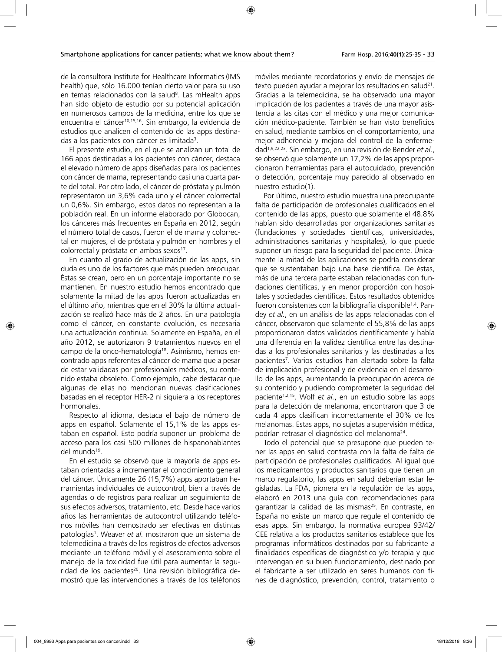de la consultora Institute for Healthcare Informatics (IMS health) que, sólo 16.000 tenían cierto valor para su uso en temas relacionados con la salud<sup>8</sup>. Las mHealth apps han sido objeto de estudio por su potencial aplicación en numerosos campos de la medicina, entre los que se encuentra el cáncer<sup>10,15,16</sup>. Sin embargo, la evidencia de estudios que analicen el contenido de las apps destinadas a los pacientes con cáncer es limitada<sup>3</sup>.

El presente estudio, en el que se analizan un total de 166 apps destinadas a los pacientes con cáncer, destaca el elevado número de apps diseñadas para los pacientes con cáncer de mama, representando casi una cuarta parte del total. Por otro lado, el cáncer de próstata y pulmón representaron un 3,6% cada uno y el cáncer colorrectal un 0,6%. Sin embargo, estos datos no representan a la población real. En un informe elaborado por Globocan, los cánceres más frecuentes en España en 2012, según el número total de casos, fueron el de mama y colorrectal en mujeres, el de próstata y pulmón en hombres y el colorrectal y próstata en ambos sexos<sup>17</sup>.

En cuanto al grado de actualización de las apps, sin duda es uno de los factores que más pueden preocupar. Éstas se crean, pero en un porcentaje importante no se mantienen. En nuestro estudio hemos encontrado que solamente la mitad de las apps fueron actualizadas en el último año, mientras que en el 30% la última actualización se realizó hace más de 2 años. En una patología como el cáncer, en constante evolución, es necesaria una actualización continua. Solamente en España, en el año 2012, se autorizaron 9 tratamientos nuevos en el campo de la onco-hematología18. Asimismo, hemos encontrado apps referentes al cáncer de mama que a pesar de estar validadas por profesionales médicos, su contenido estaba obsoleto. Como ejemplo, cabe destacar que algunas de ellas no mencionan nuevas clasificaciones basadas en el receptor HER-2 ni siquiera a los receptores hormonales.

Respecto al idioma, destaca el bajo de número de apps en español. Solamente el 15,1% de las apps estaban en español. Esto podría suponer un problema de acceso para los casi 500 millones de hispanohablantes del mundo<sup>19</sup>.

En el estudio se observó que la mayoría de apps estaban orientadas a incrementar el conocimiento general del cáncer. Únicamente 26 (15,7%) apps aportaban herramientas individuales de autocontrol, bien a través de agendas o de registros para realizar un seguimiento de sus efectos adversos, tratamiento, etc. Desde hace varios años las herramientas de autocontrol utilizando teléfonos móviles han demostrado ser efectivas en distintas patologías<sup>1</sup>. Weaver et al. mostraron que un sistema de telemedicina a través de los registros de efectos adversos mediante un teléfono móvil y el asesoramiento sobre el manejo de la toxicidad fue útil para aumentar la seguridad de los pacientes<sup>20</sup>. Una revisión bibliográfica demostró que las intervenciones a través de los teléfonos

móviles mediante recordatorios y envío de mensajes de texto pueden ayudar a mejorar los resultados en salud<sup>21</sup>. Gracias a la telemedicina, se ha observado una mayor implicación de los pacientes a través de una mayor asistencia a las citas con el médico y una mejor comunicación médico-paciente. También se han visto beneficios en salud, mediante cambios en el comportamiento, una mejor adherencia y mejora del control de la enfermedad1,9,22,23. Sin embargo, en una revisión de Bender *et al.*, se observó que solamente un 17,2% de las apps proporcionaron herramientas para el autocuidado, prevención o detección, porcentaje muy parecido al observado en nuestro estudio(1).

Por último, nuestro estudio muestra una preocupante falta de participación de profesionales cualificados en el contenido de las apps, puesto que solamente el 48.8% habían sido desarrolladas por organizaciones sanitarias (fundaciones y sociedades científicas, universidades, administraciones sanitarias y hospitales), lo que puede suponer un riesgo para la seguridad del paciente. Únicamente la mitad de las aplicaciones se podría considerar que se sustentaban bajo una base científica. De éstas, más de una tercera parte estaban relacionadas con fundaciones científicas, y en menor proporción con hospitales y sociedades científicas. Estos resultados obtenidos fueron consistentes con la bibliografía disponible1,4. Pandey *et al.*, en un análisis de las apps relacionadas con el cáncer, observaron que solamente el 55,8% de las apps proporcionaron datos validados científicamente y había una diferencia en la validez científica entre las destinadas a los profesionales sanitarios y las destinadas a los pacientes7 . Varios estudios han alertado sobre la falta de implicación profesional y de evidencia en el desarrollo de las apps, aumentando la preocupación acerca de su contenido y pudiendo comprometer la seguridad del paciente1,2,15. Wolf *et al.*, en un estudio sobre las apps para la detección de melanoma, encontraron que 3 de cada 4 apps clasifican incorrectamente el 30% de los melanomas. Estas apps, no sujetas a supervisión médica, podrían retrasar el diagnóstico del melanoma<sup>24</sup>.

Todo el potencial que se presupone que pueden tener las apps en salud contrasta con la falta de falta de participación de profesionales cualificados. Al igual que los medicamentos y productos sanitarios que tienen un marco regulatorio, las apps en salud deberían estar legisladas. La FDA, pionera en la regulación de las apps, elaboró en 2013 una guía con recomendaciones para garantizar la calidad de las mismas<sup>25</sup>. En contraste, en España no existe un marco que regule el contenido de esas apps. Sin embargo, la normativa europea 93/42/ CEE relativa a los productos sanitarios establece que los programas informáticos destinados por su fabricante a finalidades específicas de diagnóstico y/o terapia y que intervengan en su buen funcionamiento, destinado por el fabricante a ser utilizado en seres humanos con fines de diagnóstico, prevención, control, tratamiento o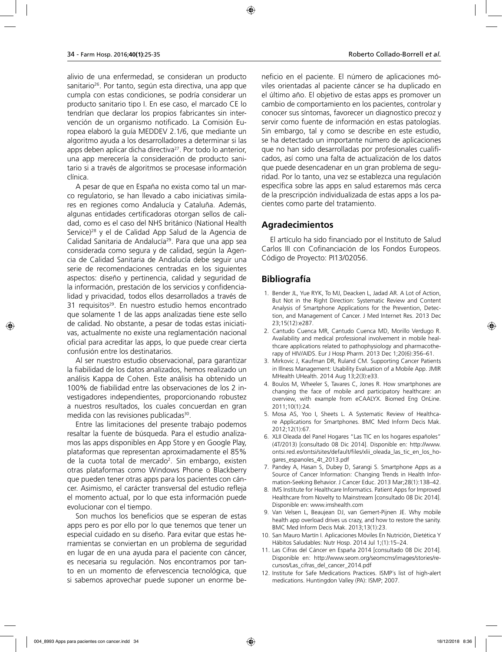alivio de una enfermedad, se consideran un producto sanitario<sup>26</sup>. Por tanto, según esta directiva, una app que cumpla con estas condiciones, se podría considerar un producto sanitario tipo I. En ese caso, el marcado CE lo tendrían que declarar los propios fabricantes sin intervención de un organismo notificado. La Comisión Europea elaboró la guía MEDDEV 2.1/6, que mediante un algoritmo ayuda a los desarrolladores a determinar si las apps deben aplicar dicha directiva<sup>27</sup>. Por todo lo anterior, una app merecería la consideración de producto sanitario si a través de algoritmos se procesase información

clínica. A pesar de que en España no exista como tal un marco regulatorio, se han llevado a cabo iniciativas similares en regiones como Andalucía y Cataluña. Además, algunas entidades certificadoras otorgan sellos de calidad, como es el caso del NHS británico (National Health Service)<sup>28</sup> y el de Calidad App Salud de la Agencia de Calidad Sanitaria de Andalucía<sup>29</sup>. Para que una app sea considerada como segura y de calidad, según la Agencia de Calidad Sanitaria de Andalucía debe seguir una serie de recomendaciones centradas en los siguientes aspectos: diseño y pertinencia, calidad y seguridad de la información, prestación de los servicios y confidencialidad y privacidad, todos ellos desarrollados a través de 31 requisitos<sup>29</sup>. En nuestro estudio hemos encontrado que solamente 1 de las apps analizadas tiene este sello de calidad. No obstante, a pesar de todas estas iniciativas, actualmente no existe una reglamentación nacional oficial para acreditar las apps, lo que puede crear cierta confusión entre los destinatarios.

Al ser nuestro estudio observacional, para garantizar la fiabilidad de los datos analizados, hemos realizado un análisis Kappa de Cohen. Este análisis ha obtenido un 100% de fiabilidad entre las observaciones de los 2 investigadores independientes, proporcionando robustez a nuestros resultados, los cuales concuerdan en gran medida con las revisiones publicadas<sup>30</sup>.

Entre las limitaciones del presente trabajo podemos resaltar la fuente de búsqueda. Para el estudio analizamos las apps disponibles en App Store y en Google Play, plataformas que representan aproximadamente el 85% de la cuota total de mercado<sup>2</sup>. Sin embargo, existen otras plataformas como Windows Phone o Blackberry que pueden tener otras apps para los pacientes con cáncer. Asimismo, el carácter transversal del estudio refleja el momento actual, por lo que esta información puede evolucionar con el tiempo.

Son muchos los beneficios que se esperan de estas apps pero es por ello por lo que tenemos que tener un especial cuidado en su diseño. Para evitar que estas herramientas se conviertan en un problema de seguridad en lugar de en una ayuda para el paciente con cáncer, es necesaria su regulación. Nos encontramos por tanto en un momento de efervescencia tecnológica, que si sabemos aprovechar puede suponer un enorme be-

neficio en el paciente. El número de aplicaciones móviles orientadas al paciente cáncer se ha duplicado en el último año. El objetivo de estas apps es promover un cambio de comportamiento en los pacientes, controlar y conocer sus síntomas, favorecer un diagnostico precoz y servir como fuente de información en estas patologías. Sin embargo, tal y como se describe en este estudio, se ha detectado un importante número de aplicaciones que no han sido desarrolladas por profesionales cualificados, así como una falta de actualización de los datos que puede desencadenar en un gran problema de seguridad. Por lo tanto, una vez se establezca una regulación específica sobre las apps en salud estaremos más cerca de la prescripción individualizada de estas apps a los pacientes como parte del tratamiento.

### **Agradecimientos**

El artículo ha sido financiado por el Instituto de Salud Carlos III con Cofinanciación de los Fondos Europeos. Código de Proyecto: PI13/02056.

# **Bibliografía**

- 1. Bender JL, Yue RYK, To MJ, Deacken L, Jadad AR. A Lot of Action, But Not in the Right Direction: Systematic Review and Content Analysis of Smartphone Applications for the Prevention, Detection, and Management of Cancer. J Med Internet Res. 2013 Dec 23;15(12):e287.
- 2. Cantudo Cuenca MR, Cantudo Cuenca MD, Morillo Verdugo R. Availability and medical professional involvement in mobile healthcare applications related to pathophysiology and pharmacotherapy of HIV/AIDS. Eur J Hosp Pharm. 2013 Dec 1;20(6):356–61.
- 3. Mirkovic J, Kaufman DR, Ruland CM. Supporting Cancer Patients in Illness Management: Usability Evaluation of a Mobile App. JMIR MHealth UHealth. 2014 Aug 13;2(3):e33.
- 4. Boulos M, Wheeler S, Tavares C, Jones R. How smartphones are changing the face of mobile and participatory healthcare: an overview, with example from eCAALYX. Biomed Eng OnLine. 2011;10(1):24.
- 5. Mosa AS, Yoo I, Sheets L. A Systematic Review of Healthcare Applications for Smartphones. BMC Med Inform Decis Mak. 2012;12(1):67.
- 6. XLII Oleada del Panel Hogares "Las TIC en los hogares españoles" (4T/2013) [consultado 08 Dic 2014]. Disponible en: http://www. ontsi.red.es/ontsi/sites/default/files/xlii\_oleada\_las\_tic\_en\_los\_hogares\_espanoles\_4t\_2013.pdf
- 7. Pandey A, Hasan S, Dubey D, Sarangi S. Smartphone Apps as a Source of Cancer Information: Changing Trends in Health Information-Seeking Behavior. J Cancer Educ. 2013 Mar;28(1):138–42.
- 8. IMS Institute for Healthcare Informatics. Patient Apps for Improved Healthcare from Novelty to Mainstream [consultado 08 Dic 2014]. Disponible en: www.imshealth.com
- 9. Van Velsen L, Beaujean DJ, van Gemert-Pijnen JE. Why mobile health app overload drives us crazy, and how to restore the sanity. BMC Med Inform Decis Mak. 2013;13(1):23.
- 10. San Mauro Martín I. Aplicaciones Móviles En Nutrición, Dietética Y Hábitos Saludables: Nutr Hosp. 2014 Jul 1;(1):15–24.
- 11. Las Cifras del Cáncer en España 2014 [consultado 08 Dic 2014]. Disponible en: http://www.seom.org/seomcms/images/stories/recursos/Las\_cifras\_del\_cancer\_2014.pdf
- 12. Institute for Safe Medications Practices. ISMP´s list of high-alert medications. Huntingdon Valley (PA): ISMP; 2007.